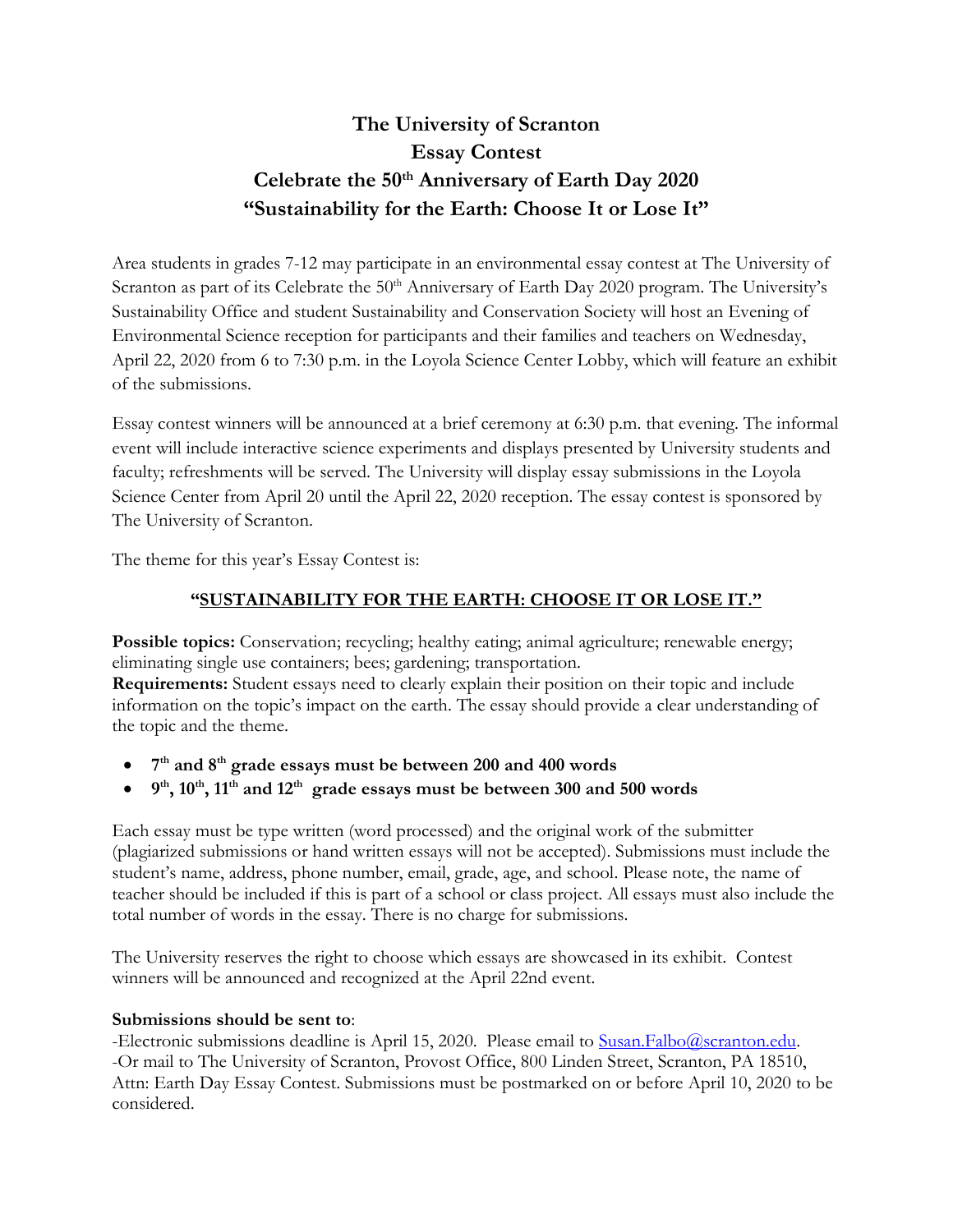## **The University of Scranton Essay Contest Celebrate the 50th Anniversary of Earth Day 2020 "Sustainability for the Earth: Choose It or Lose It"**

Area students in grades 7-12 may participate in an environmental essay contest at The University of Scranton as part of its Celebrate the 50<sup>th</sup> Anniversary of Earth Day 2020 program. The University's Sustainability Office and student Sustainability and Conservation Society will host an Evening of Environmental Science reception for participants and their families and teachers on Wednesday, April 22, 2020 from 6 to 7:30 p.m. in the Loyola Science Center Lobby, which will feature an exhibit of the submissions.

Essay contest winners will be announced at a brief ceremony at 6:30 p.m. that evening. The informal event will include interactive science experiments and displays presented by University students and faculty; refreshments will be served. The University will display essay submissions in the Loyola Science Center from April 20 until the April 22, 2020 reception. The essay contest is sponsored by The University of Scranton.

The theme for this year's Essay Contest is:

## **"SUSTAINABILITY FOR THE EARTH: CHOOSE IT OR LOSE IT."**

Possible topics: Conservation; recycling; healthy eating; animal agriculture; renewable energy; eliminating single use containers; bees; gardening; transportation.

**Requirements:** Student essays need to clearly explain their position on their topic and include information on the topic's impact on the earth. The essay should provide a clear understanding of the topic and the theme.

- **7 th and 8th grade essays must be between 200 and 400 words**
- **9 th, 10th, 11th and 12th grade essays must be between 300 and 500 words**

Each essay must be type written (word processed) and the original work of the submitter (plagiarized submissions or hand written essays will not be accepted). Submissions must include the student's name, address, phone number, email, grade, age, and school. Please note, the name of teacher should be included if this is part of a school or class project. All essays must also include the total number of words in the essay. There is no charge for submissions.

The University reserves the right to choose which essays are showcased in its exhibit. Contest winners will be announced and recognized at the April 22nd event.

## **Submissions should be sent to**:

-Electronic submissions deadline is April 15, 2020. Please email to [Susan.Falbo@scranton.edu.](mailto:Susan.Falbo@scranton.edu) -Or mail to The University of Scranton, Provost Office, 800 Linden Street, Scranton, PA 18510, Attn: Earth Day Essay Contest. Submissions must be postmarked on or before April 10, 2020 to be considered.